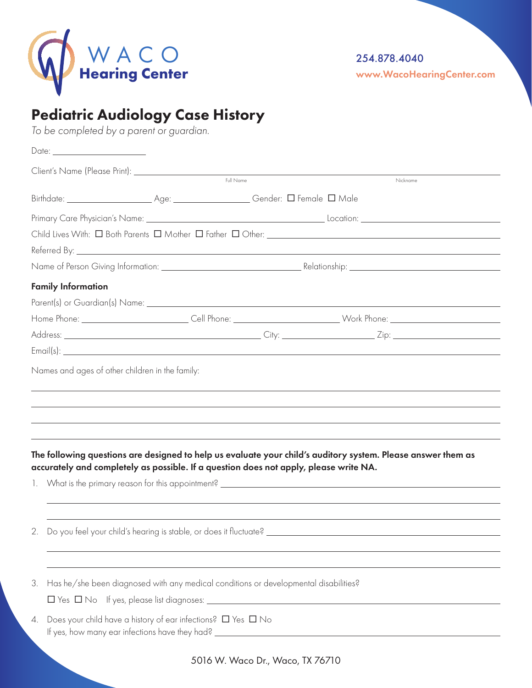

## Pediatric Audiology Case History

*To be completed by a parent or guardian.* 

| Date: _________________________ |                                                                                                                                                                                                                                |                                                                                                                                                                                                                                                                                                 |                                                                                                              |  |  |
|---------------------------------|--------------------------------------------------------------------------------------------------------------------------------------------------------------------------------------------------------------------------------|-------------------------------------------------------------------------------------------------------------------------------------------------------------------------------------------------------------------------------------------------------------------------------------------------|--------------------------------------------------------------------------------------------------------------|--|--|
|                                 | Client's Name (Please Print): \\square\\square\square\square\square\square\square\square\square\square\square\square\square\square\square\square\square\square\square\square\square\square\square\square\square\square\square\ | $\begin{tabular}{ c c } \hline \quad \quad & \quad \quad & \quad \quad \\ \hline \quad \quad & \quad \quad & \quad \quad & \quad \quad \\ \hline \quad \quad & \quad \quad & \quad \quad & \quad \quad \\ \hline \quad \quad & \quad \quad & \quad \quad & \quad \quad \\ \hline \end{tabular}$ |                                                                                                              |  |  |
|                                 |                                                                                                                                                                                                                                |                                                                                                                                                                                                                                                                                                 | Nickname                                                                                                     |  |  |
|                                 |                                                                                                                                                                                                                                |                                                                                                                                                                                                                                                                                                 |                                                                                                              |  |  |
|                                 |                                                                                                                                                                                                                                |                                                                                                                                                                                                                                                                                                 |                                                                                                              |  |  |
|                                 |                                                                                                                                                                                                                                |                                                                                                                                                                                                                                                                                                 |                                                                                                              |  |  |
|                                 |                                                                                                                                                                                                                                |                                                                                                                                                                                                                                                                                                 |                                                                                                              |  |  |
|                                 |                                                                                                                                                                                                                                |                                                                                                                                                                                                                                                                                                 |                                                                                                              |  |  |
| <b>Family Information</b>       |                                                                                                                                                                                                                                |                                                                                                                                                                                                                                                                                                 |                                                                                                              |  |  |
|                                 |                                                                                                                                                                                                                                |                                                                                                                                                                                                                                                                                                 |                                                                                                              |  |  |
|                                 |                                                                                                                                                                                                                                |                                                                                                                                                                                                                                                                                                 |                                                                                                              |  |  |
|                                 |                                                                                                                                                                                                                                |                                                                                                                                                                                                                                                                                                 |                                                                                                              |  |  |
|                                 |                                                                                                                                                                                                                                |                                                                                                                                                                                                                                                                                                 |                                                                                                              |  |  |
|                                 | accurately and completely as possible. If a question does not apply, please write NA.                                                                                                                                          |                                                                                                                                                                                                                                                                                                 | The following questions are designed to help us evaluate your child's auditory system. Please answer them as |  |  |
|                                 |                                                                                                                                                                                                                                |                                                                                                                                                                                                                                                                                                 |                                                                                                              |  |  |
|                                 |                                                                                                                                                                                                                                |                                                                                                                                                                                                                                                                                                 |                                                                                                              |  |  |
| 3.                              | Has he/she been diagnosed with any medical conditions or developmental disabilities?                                                                                                                                           |                                                                                                                                                                                                                                                                                                 |                                                                                                              |  |  |
|                                 |                                                                                                                                                                                                                                |                                                                                                                                                                                                                                                                                                 |                                                                                                              |  |  |
| 4.                              | Does your child have a history of ear infections? $\square$ Yes $\square$ No                                                                                                                                                   |                                                                                                                                                                                                                                                                                                 |                                                                                                              |  |  |
|                                 |                                                                                                                                                                                                                                | 5016 W. Waco Dr., Waco, TX 76710                                                                                                                                                                                                                                                                |                                                                                                              |  |  |